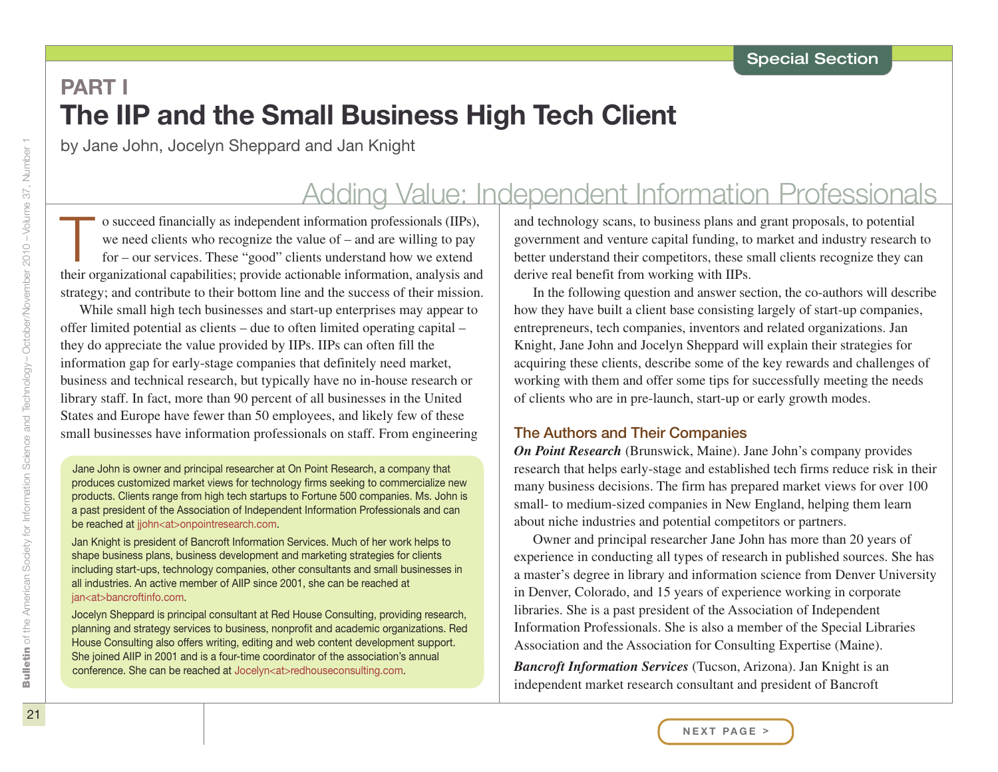## <span id="page-0-0"></span>**PART I The IIP and the Small Business High Tech Client**

by Jane John, Jocelyn Sheppard and Jan Knight

# Adding Value: Independent Information Professionals

 $\sigma$  succeed financially as independent information professionals (IIPs),<br>we need clients who recognize the value of  $-$  and are willing to pay<br>for  $-\sigma$  our services. These "good" clients understand how we extend<br>their ex we need clients who recognize the value of – and are willing to pay for – our services. These "good" clients understand how we extend their organizational capabilities; provide actionable information, analysis and strategy; and contribute to their bottom line and the success of their mission.

While small high tech businesses and start-up enterprises may appear to offer limited potential as clients – due to often limited operating capital – they do appreciate the value provided by IIPs. IIPs can often fill the information gap for early-stage companies that definitely need market, business and technical research, but typically have no in-house research or library staff. In fact, more than 90 percent of all businesses in the United States and Europe have fewer than 50 employees, and likely few of these small businesses have information professionals on staff. From engineering

Jane John is owner and principal researcher at On Point Research, a company that produces customized market views for technology firms seeking to commercialize new products. Clients range from high tech startups to Fortune 500 companies. Ms. John is a past president of the Association of Independent Information Professionals and can be reached at [jjohn<at>onpointresearch.com.](mailto:jjohn<at>onpointresearch.com)

Jan Knight is president of Bancroft Information Services. Much of her work helps to shape business plans, business development and marketing strategies for clients including start-ups, technology companies, other consultants and small businesses in all industries. An active member of AIIP since 2001, she can be reached at ian<at>bancroftinfo.com.

She joined AIIP in 2001 and is a four-time coordinator of the association's annual conference. She can be reached at [Jocelyn<at>redhouseconsulting.com.](mailto:Jocelyn<at>redhouseconsulting.com) Jocelyn Sheppard is principal consultant at Red House Consulting, providing research, planning and strategy services to business, nonprofit and academic organizations. Red House Consulting also offers writing, editing and web content development support.

and technology scans, to business plans and grant proposals, to potential government and venture capital funding, to market and industry research to better understand their competitors, these small clients recognize they can derive real benefit from working with IIPs.

In the following question and answer section, the co-authors will describe how they have built a client base consisting largely of start-up companies, entrepreneurs, tech companies, inventors and related organizations. Jan Knight, Jane John and Jocelyn Sheppard will explain their strategies for acquiring these clients, describe some of the key rewards and challenges of working with them and offer some tips for successfully meeting the needs of clients who are in pre-launch, start-up or early growth modes.

## **The Authors and Their Companies**

*On Point Research* (Brunswick, Maine). Jane John's company provides research that helps early-stage and established tech firms reduce risk in their many business decisions. The firm has prepared market views for over 100 small- to medium-sized companies in New England, helping them learn about niche industries and potential competitors or partners.

Owner and principal researcher Jane John has more than 20 years of experience in conducting all types of research in published sources. She has a master's degree in library and information science from Denver University in Denver, Colorado, and 15 years of experience working in corporate libraries. She is a past president of the Association of Independent Information Professionals. She is also a member of the Special Libraries Association and the Association for Consulting Expertise (Maine).

*Bancroft Information Services* (Tucson, Arizona). Jan Knight is an independent market research consultant and president of Bancroft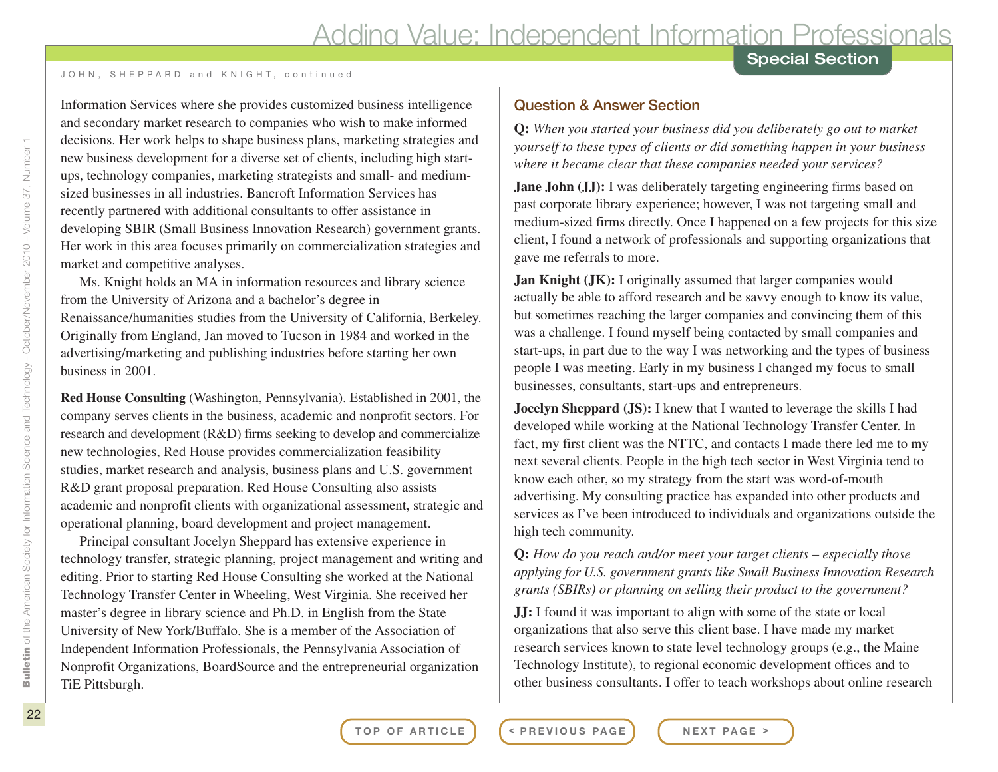**Special Section**

<span id="page-1-0"></span>Information Services where she provides customized business intelligence and secondary market research to companies who wish to make informed decisions. Her work helps to shape business plans, marketing strategies and new business development for a diverse set of clients, including high startups, technology companies, marketing strategists and small- and mediumsized businesses in all industries. Bancroft Information Services has recently partnered with additional consultants to offer assistance in developing SBIR (Small Business Innovation Research) government grants. Her work in this area focuses primarily on commercialization strategies and market and competitive analyses.

Ms. Knight holds an MA in information resources and library science from the University of Arizona and a bachelor's degree in Renaissance/humanities studies from the University of California, Berkeley. Originally from England, Jan moved to Tucson in 1984 and worked in the advertising/marketing and publishing industries before starting her own business in 2001.

**Red House Consulting** (Washington, Pennsylvania). Established in 2001, the company serves clients in the business, academic and nonprofit sectors. For research and development (R&D) firms seeking to develop and commercialize new technologies, Red House provides commercialization feasibility studies, market research and analysis, business plans and U.S. government R&D grant proposal preparation. Red House Consulting also assists academic and nonprofit clients with organizational assessment, strategic and operational planning, board development and project management.

Principal consultant Jocelyn Sheppard has extensive experience in technology transfer, strategic planning, project management and writing and editing. Prior to starting Red House Consulting she worked at the National Technology Transfer Center in Wheeling, West Virginia. She received her master's degree in library science and Ph.D. in English from the State University of New York/Buffalo. She is a member of the Association of Independent Information Professionals, the Pennsylvania Association of Nonprofit Organizations, BoardSource and the entrepreneurial organization TiE Pittsburgh.

## **Question & Answer Section**

**Q:** *When you started your business did you deliberately go out to market yourself to these types of clients or did something happen in your business where it became clear that these companies needed your services?*

**Jane John** (**JJ**): I was deliberately targeting engineering firms based on past corporate library experience; however, I was not targeting small and medium-sized firms directly. Once I happened on a few projects for this size client, I found a network of professionals and supporting organizations that gave me referrals to more.

**Jan Knight (JK):** I originally assumed that larger companies would actually be able to afford research and be savvy enough to know its value, but sometimes reaching the larger companies and convincing them of this was a challenge. I found myself being contacted by small companies and start-ups, in part due to the way I was networking and the types of business people I was meeting. Early in my business I changed my focus to small businesses, consultants, start-ups and entrepreneurs.

**Jocelyn Sheppard (JS):** I knew that I wanted to leverage the skills I had developed while working at the National Technology Transfer Center. In fact, my first client was the NTTC, and contacts I made there led me to my next several clients. People in the high tech sector in West Virginia tend to know each other, so my strategy from the start was word-of-mouth advertising. My consulting practice has expanded into other products and services as I've been introduced to individuals and organizations outside the high tech community.

**Q:** *How do you reach and/or meet your target clients – especially those applying for U.S. government grants like Small Business Innovation Research grants (SBIRs) or planning on selling their product to the government?*

**JJ:** I found it was important to align with some of the state or local organizations that also serve this client base. I have made my market research services known to state level technology groups (e.g., the Maine Technology Institute), to regional economic development offices and to other business consultants. I offer to teach workshops about online research

TOP OF ARTICLE | ( < PREVIOUS [PA](#page-2-0)GE | ( ) NEXT PAGE >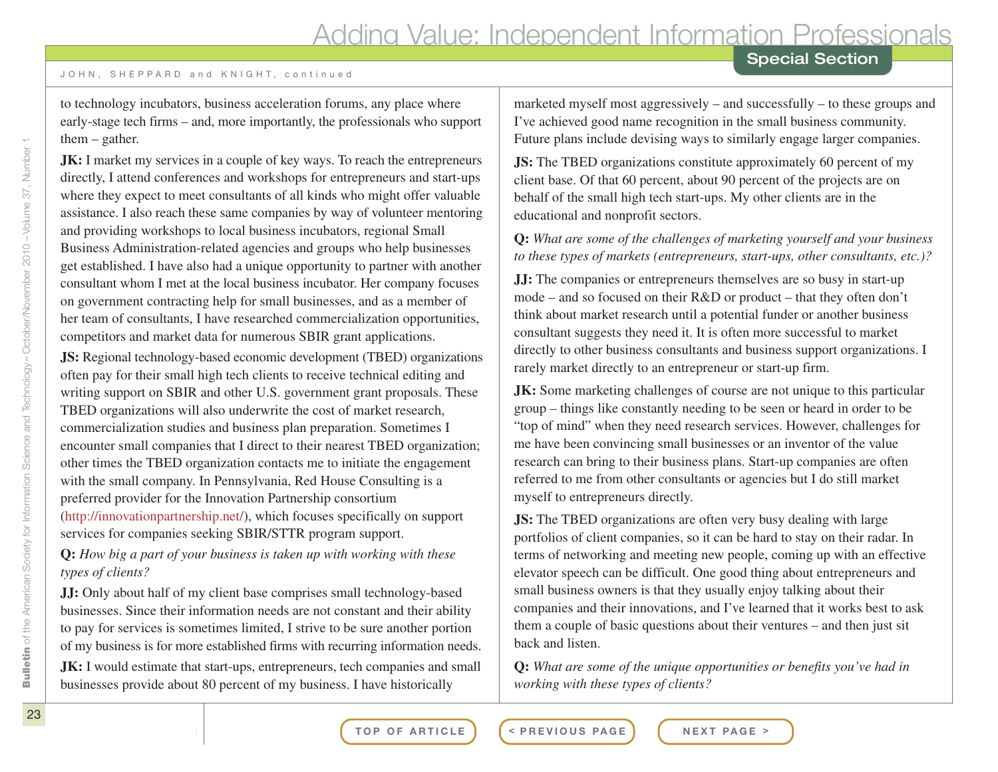<span id="page-2-0"></span>to technology incubators, business acceleration forums, any place where early-stage tech firms – and, more importantly, the professionals who support them – gather.

**JK:** I market my services in a couple of key ways. To reach the entrepreneurs directly, I attend conferences and workshops for entrepreneurs and start-ups where they expect to meet consultants of all kinds who might offer valuable assistance. I also reach these same companies by way of volunteer mentoring and providing workshops to local business incubators, regional Small Business Administration-related agencies and groups who help businesses get established. I have also had a unique opportunity to partner with another consultant whom I met at the local business incubator. Her company focuses on government contracting help for small businesses, and as a member of her team of consultants, I have researched commercialization opportunities, competitors and market data for numerous SBIR grant applications.

**JS:** Regional technology-based economic development (TBED) organizations often pay for their small high tech clients to receive technical editing and writing support on SBIR and other U.S. government grant proposals. These TBED organizations will also underwrite the cost of market research, commercialization studies and business plan preparation. Sometimes I encounter small companies that I direct to their nearest TBED organization; other times the TBED organization contacts me to initiate the engagement with the small company. In Pennsylvania, Red House Consulting is a preferred provider for the Innovation Partnership consortium [\(http://innovationpartnership.net/\)](http://innovationpartnership.net/), which focuses specifically on support services for companies seeking SBIR/STTR program support.

**Q:** *How big a part of your business is taken up with working with these types of clients?*

**JJ:** Only about half of my client base comprises small technology-based businesses. Since their information needs are not constant and their ability to pay for services is sometimes limited, I strive to be sure another portion of my business is for more established firms with recurring information needs. **JK:** I would estimate that start-ups, entrepreneurs, tech companies and small businesses provide about 80 percent of my business. I have historically

marketed myself most aggressively – and successfully – to these groups and I've achieved good name recognition in the small business community. Future plans include devising ways to similarly engage larger companies.

**JS:** The TBED organizations constitute approximately 60 percent of my client base. Of that 60 percent, about 90 percent of the projects are on behalf of the small high tech start-ups. My other clients are in the educational and nonprofit sectors.

**Q:** *What are some of the challenges of marketing yourself and your business to these types of markets (entrepreneurs, start-ups, other consultants, etc.)?*

**J.J:** The companies or entrepreneurs themselves are so busy in start-up mode – and so focused on their R&D or product – that they often don't think about market research until a potential funder or another business consultant suggests they need it. It is often more successful to market directly to other business consultants and business support organizations. I rarely market directly to an entrepreneur or start-up firm.

**JK:** Some marketing challenges of course are not unique to this particular group – things like constantly needing to be seen or heard in order to be "top of mind" when they need research services. However, challenges for me have been convincing small businesses or an inventor of the value research can bring to their business plans. Start-up companies are often referred to me from other consultants or agencies but I do still market myself to entrepreneurs directly.

**JS:** The TBED organizations are often very busy dealing with large portfolios of client companies, so it can be hard to stay on their radar. In terms of networking and meeting new people, coming up with an effective elevator speech can be difficult. One good thing about entrepreneurs and small business owners is that they usually enjoy talking about their companies and their innovations, and I've learned that it works best to ask them a couple of basic questions about their ventures – and then just sit back and listen.

**Q:** *What are some of the unique opportunities or benefits you've had in working with these types of clients?*

T[O](#page-0-0)P OF ARTICLE | ( < PREVIOUS [PA](#page-3-0)GE | ( ) NEXT PAGE >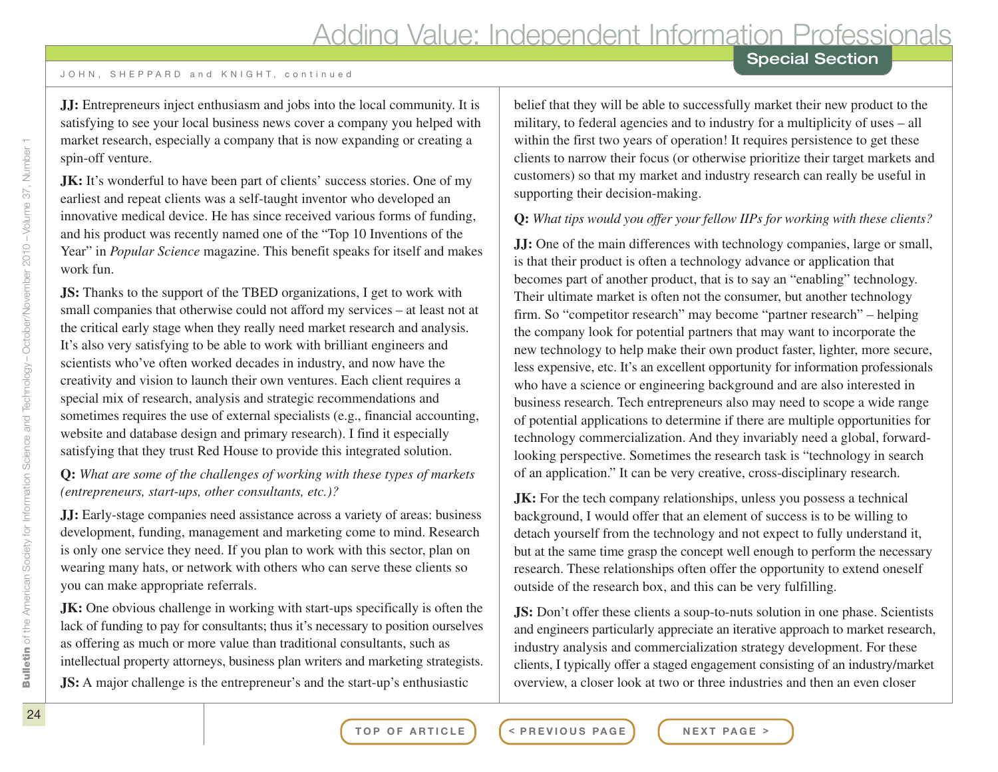**Special Section**

<span id="page-3-0"></span>**JJ:** Entrepreneurs inject enthusiasm and jobs into the local community. It is satisfying to see your local business news cover a company you helped with market research, especially a company that is now expanding or creating a spin-off venture.

**JK:** It's wonderful to have been part of clients' success stories. One of my earliest and repeat clients was a self-taught inventor who developed an innovative medical device. He has since received various forms of funding, and his product was recently named one of the "Top 10 Inventions of the Year" in *Popular Science* magazine. This benefit speaks for itself and makes work fun.

**JS:** Thanks to the support of the TBED organizations, I get to work with small companies that otherwise could not afford my services – at least not at the critical early stage when they really need market research and analysis. It's also very satisfying to be able to work with brilliant engineers and scientists who've often worked decades in industry, and now have the creativity and vision to launch their own ventures. Each client requires a special mix of research, analysis and strategic recommendations and sometimes requires the use of external specialists (e.g., financial accounting, website and database design and primary research). I find it especially satisfying that they trust Red House to provide this integrated solution.

**Q:** *What are some of the challenges of working with these types of markets (entrepreneurs, start-ups, other consultants, etc.)?*

**JJ:** Early-stage companies need assistance across a variety of areas: business development, funding, management and marketing come to mind. Research is only one service they need. If you plan to work with this sector, plan on wearing many hats, or network with others who can serve these clients so you can make appropriate referrals.

**JK:** One obvious challenge in working with start-ups specifically is often the lack of funding to pay for consultants; thus it's necessary to position ourselves as offering as much or more value than traditional consultants, such as intellectual property attorneys, business plan writers and marketing strategists. **JS:** A major challenge is the entrepreneur's and the start-up's enthusiastic

belief that they will be able to successfully market their new product to the military, to federal agencies and to industry for a multiplicity of uses – all within the first two years of operation! It requires persistence to get these clients to narrow their focus (or otherwise prioritize their target markets and customers) so that my market and industry research can really be useful in supporting their decision-making.

## **Q:** *What tips would you offer your fellow IIPs for working with these clients?*

**JJ:** One of the main differences with technology companies, large or small, is that their product is often a technology advance or application that becomes part of another product, that is to say an "enabling" technology. Their ultimate market is often not the consumer, but another technology firm. So "competitor research" may become "partner research" – helping the company look for potential partners that may want to incorporate the new technology to help make their own product faster, lighter, more secure, less expensive, etc. It's an excellent opportunity for information professionals who have a science or engineering background and are also interested in business research. Tech entrepreneurs also may need to scope a wide range of potential applications to determine if there are multiple opportunities for technology commercialization. And they invariably need a global, forwardlooking perspective. Sometimes the research task is "technology in search of an application." It can be very creative, cross-disciplinary research.

**JK:** For the tech company relationships, unless you possess a technical background, I would offer that an element of success is to be willing to detach yourself from the technology and not expect to fully understand it, but at the same time grasp the concept well enough to perform the necessary research. These relationships often offer the opportunity to extend oneself outside of the research box, and this can be very fulfilling.

**JS:** Don't offer these clients a soup-to-nuts solution in one phase. Scientists and engineers particularly appreciate an iterative approach to market research, industry analysis and commercialization strategy development. For these clients, I typically offer a staged engagement consisting of an industry/market overview, a closer look at two or three industries and then an even closer

T[O](#page-0-0)P OF ARTICLE | ( < PREVIOUS [PA](#page-4-0)GE | ( ) NEXT PAGE >